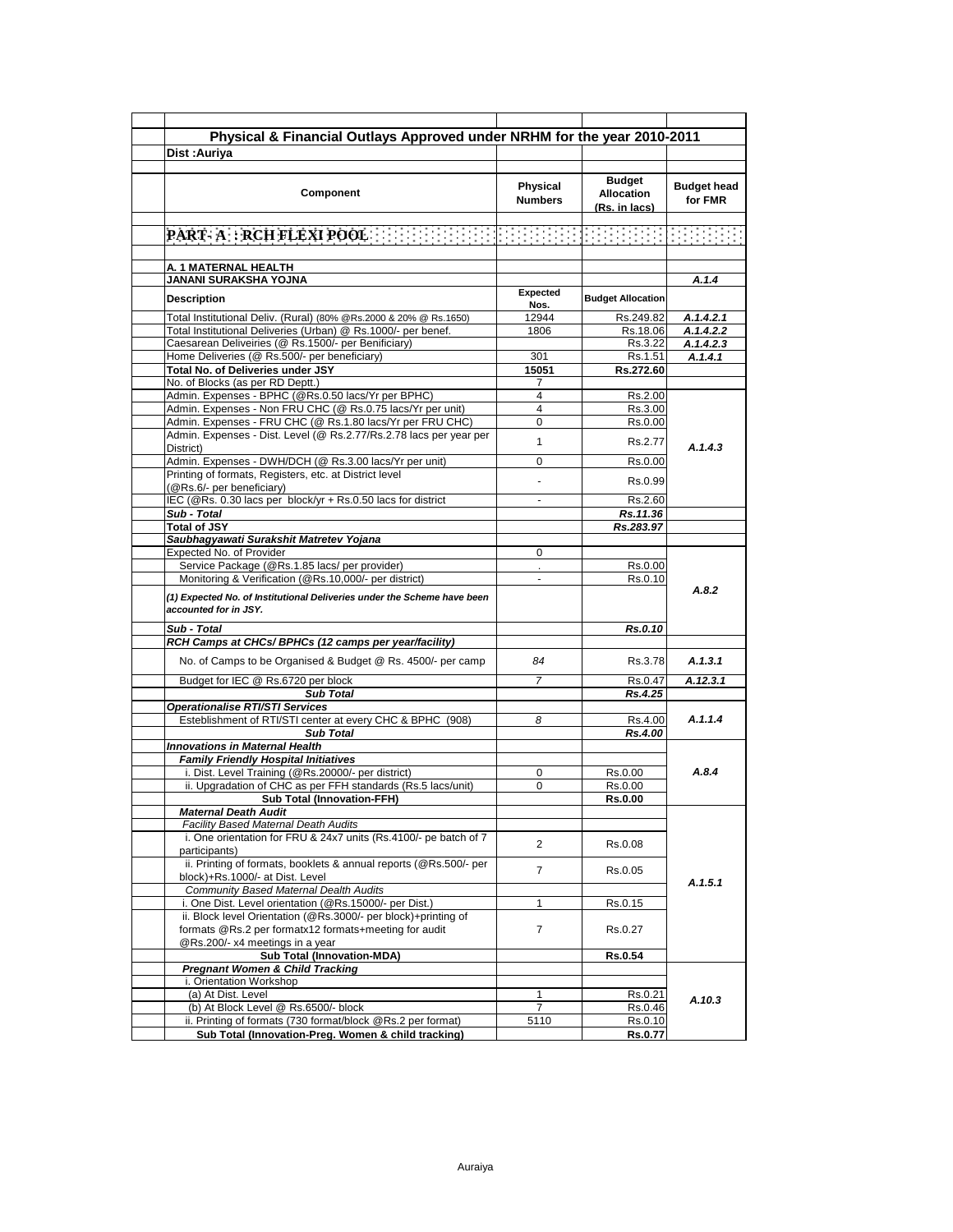| Physical & Financial Outlays Approved under NRHM for the year 2010-2011                                                  |                            |                                                     |                               |  |
|--------------------------------------------------------------------------------------------------------------------------|----------------------------|-----------------------------------------------------|-------------------------------|--|
| Dist: Auriya                                                                                                             |                            |                                                     |                               |  |
|                                                                                                                          |                            |                                                     |                               |  |
| Component                                                                                                                | Physical<br><b>Numbers</b> | <b>Budget</b><br><b>Allocation</b><br>(Rs. in lacs) | <b>Budget head</b><br>for FMR |  |
|                                                                                                                          |                            |                                                     |                               |  |
|                                                                                                                          |                            | 199999991                                           |                               |  |
|                                                                                                                          |                            |                                                     |                               |  |
| A. 1 MATERNAL HEALTH<br>JANANI SURAKSHA YOJNA                                                                            |                            |                                                     | A.1.4                         |  |
|                                                                                                                          | Expected                   |                                                     |                               |  |
| <b>Description</b>                                                                                                       | Nos.                       | <b>Budget Allocation</b>                            |                               |  |
| Total Institutional Deliv. (Rural) (80% @Rs.2000 & 20% @ Rs.1650)                                                        | 12944                      | Rs.249.82                                           | A.1.4.2.1                     |  |
| Total Institutional Deliveries (Urban) @ Rs.1000/- per benef.                                                            | 1806                       | Rs.18.06                                            | A.1.4.2.2                     |  |
| Caesarean Deliveiries (@ Rs.1500/- per Benificiary)<br>Home Deliveries (@ Rs.500/- per beneficiary)                      |                            | Rs.3.22<br>Rs.1.51                                  | A.1.4.2.3<br>A.1.4.1          |  |
| Total No. of Deliveries under JSY                                                                                        | 301<br>15051               | Rs.272.60                                           |                               |  |
| No. of Blocks (as per RD Deptt.)                                                                                         | $\prime$                   |                                                     |                               |  |
| Admin. Expenses - BPHC (@Rs.0.50 lacs/Yr per BPHC)                                                                       | 4                          | Rs.2.00                                             |                               |  |
| Admin. Expenses - Non FRU CHC (@ Rs.0.75 lacs/Yr per unit)                                                               | 4                          | Rs.3.00                                             |                               |  |
| Admin. Expenses - FRU CHC (@ Rs.1.80 lacs/Yr per FRU CHC)                                                                | 0                          | Rs.0.00                                             |                               |  |
| Admin. Expenses - Dist. Level (@ Rs.2.77/Rs.2.78 lacs per year per                                                       | $\mathbf{1}$               | Rs.2.77                                             | A.1.4.3                       |  |
| District)<br>Admin. Expenses - DWH/DCH (@ Rs.3.00 lacs/Yr per unit)                                                      | $\Omega$                   | Rs.0.00                                             |                               |  |
| Printing of formats, Registers, etc. at District level                                                                   |                            |                                                     |                               |  |
| (@Rs.6/- per beneficiary)                                                                                                | $\overline{a}$             | Rs.0.99                                             |                               |  |
| IEC (@Rs. 0.30 lacs per block/yr + Rs.0.50 lacs for district                                                             | $\blacksquare$             | Rs.2.60                                             |                               |  |
| Sub - Total                                                                                                              |                            | Rs.11.36                                            |                               |  |
| <b>Total of JSY</b>                                                                                                      |                            | Rs.283.97                                           |                               |  |
| Saubhagyawati Surakshit Matretev Yojana                                                                                  |                            |                                                     |                               |  |
| Expected No. of Provider<br>Service Package (@Rs.1.85 lacs/ per provider)                                                | 0                          | Rs.0.00                                             | A.8.2                         |  |
| Monitoring & Verification (@Rs.10,000/- per district)                                                                    |                            | Rs.0.10                                             |                               |  |
| (1) Expected No. of Institutional Deliveries under the Scheme have been<br>accounted for in JSY.                         |                            |                                                     |                               |  |
| Sub - Total                                                                                                              |                            | Rs.0.10                                             |                               |  |
| RCH Camps at CHCs/ BPHCs (12 camps per year/facility)                                                                    |                            |                                                     |                               |  |
| No. of Camps to be Organised & Budget @ Rs. 4500/- per camp                                                              | 84                         | Rs.3.78                                             | A.1.3.1                       |  |
| Budget for IEC @ Rs.6720 per block                                                                                       | $\overline{7}$             | Rs.0.47                                             | A.12.3.1                      |  |
| <b>Sub Total</b><br><b>Operationalise RTI/STI Services</b>                                                               |                            | Rs.4.25                                             |                               |  |
| Esteblishment of RTI/STI center at every CHC & BPHC (908)                                                                | 8                          | Rs.4.00                                             | A.1.1.4                       |  |
| <b>Sub Total</b>                                                                                                         |                            | Rs.4.00                                             |                               |  |
| <b>Innovations in Maternal Health</b>                                                                                    |                            |                                                     |                               |  |
| <b>Family Friendly Hospital Initiatives</b>                                                                              |                            |                                                     |                               |  |
| i. Dist. Level Training (@Rs.20000/- per district)                                                                       | 0                          | Rs.0.00                                             | A.8.4                         |  |
| ii. Upgradation of CHC as per FFH standards (Rs.5 lacs/unit)<br><b>Sub Total (Innovation-FFH)</b>                        | 0                          | Rs.0.00<br><b>Rs.0.00</b>                           |                               |  |
| Maternal Death Audit                                                                                                     |                            |                                                     |                               |  |
| <b>Facility Based Maternal Death Audits</b>                                                                              |                            |                                                     |                               |  |
| i. One orientation for FRU & 24x7 units (Rs.4100/- pe batch of 7<br>participants)                                        | $\overline{c}$             | Rs.0.08                                             |                               |  |
| ii. Printing of formats, booklets & annual reports (@Rs.500/- per<br>block)+Rs.1000/- at Dist. Level                     | 7                          | Rs.0.05                                             | A.1.5.1                       |  |
| Community Based Maternal Dealth Audits                                                                                   |                            |                                                     |                               |  |
| i. One Dist. Level orientation (@Rs.15000/- per Dist.)<br>ii. Block level Orientation (@Rs.3000/- per block)+printing of | 1                          | Rs.0.15                                             |                               |  |
| formats @Rs.2 per formatx12 formats+meeting for audit<br>@Rs.200/- x4 meetings in a year                                 | $\overline{7}$             | Rs.0.27                                             |                               |  |
| Sub Total (Innovation-MDA)                                                                                               |                            | <b>Rs.0.54</b>                                      |                               |  |
| <b>Pregnant Women &amp; Child Tracking</b>                                                                               |                            |                                                     |                               |  |
| i. Orientation Workshop                                                                                                  |                            |                                                     |                               |  |
| (a) At Dist. Level                                                                                                       | $\mathbf{1}$               | Rs.0.21                                             | A.10.3                        |  |
| (b) At Block Level @ Rs.6500/- block<br>ii. Printing of formats (730 format/block @Rs.2 per format)                      | 7<br>5110                  | Rs.0.46<br>Rs.0.10                                  |                               |  |
| Sub Total (Innovation-Preg. Women & child tracking)                                                                      |                            | Rs.0.77                                             |                               |  |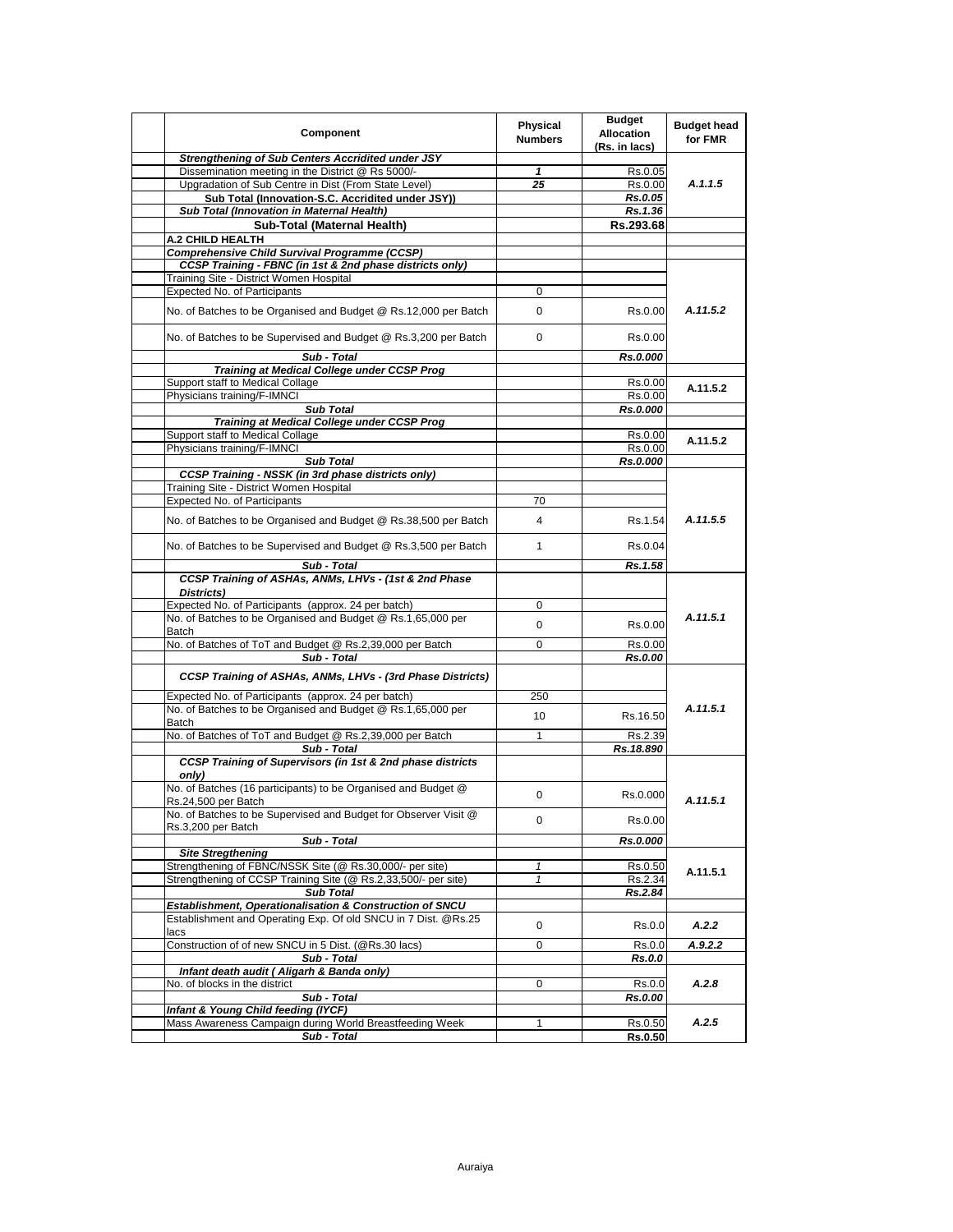| Component                                                                             | Physical<br><b>Numbers</b> | <b>Budget</b><br><b>Allocation</b><br>(Rs. in lacs) | <b>Budget head</b><br>for FMR |
|---------------------------------------------------------------------------------------|----------------------------|-----------------------------------------------------|-------------------------------|
| <b>Strengthening of Sub Centers Accridited under JSY</b>                              |                            |                                                     |                               |
| Dissemination meeting in the District @ Rs 5000/-                                     | 1                          | Rs.0.05                                             |                               |
| Upgradation of Sub Centre in Dist (From State Level)                                  | 25                         | Rs.0.00                                             | A.1.1.5                       |
| Sub Total (Innovation-S.C. Accridited under JSY))                                     |                            | Rs.0.05                                             |                               |
| Sub Total (Innovation in Maternal Health)                                             |                            | Rs.1.36                                             |                               |
| <b>Sub-Total (Maternal Health)</b>                                                    |                            | Rs.293.68                                           |                               |
| <b>A.2 CHILD HEALTH</b>                                                               |                            |                                                     |                               |
| <b>Comprehensive Child Survival Programme (CCSP)</b>                                  |                            |                                                     |                               |
|                                                                                       |                            |                                                     |                               |
| CCSP Training - FBNC (in 1st & 2nd phase districts only)                              |                            |                                                     |                               |
| Training Site - District Women Hospital                                               |                            |                                                     |                               |
| Expected No. of Participants                                                          | 0                          |                                                     |                               |
| No. of Batches to be Organised and Budget @ Rs.12,000 per Batch                       | 0                          | Rs.0.00                                             | A.11.5.2                      |
| No. of Batches to be Supervised and Budget @ Rs.3,200 per Batch                       | 0                          | Rs.0.00                                             |                               |
| Sub - Total                                                                           |                            | Rs.0.000                                            |                               |
| Training at Medical College under CCSP Prog                                           |                            |                                                     |                               |
| Support staff to Medical Collage                                                      |                            | Rs.0.00                                             |                               |
| Physicians training/F-IMNCI                                                           |                            | Rs.0.00                                             | A.11.5.2                      |
| <b>Sub Total</b>                                                                      |                            | Rs.0.000                                            |                               |
| Training at Medical College under CCSP Prog                                           |                            |                                                     |                               |
|                                                                                       |                            |                                                     |                               |
| Support staff to Medical Collage                                                      |                            | Rs.0.00                                             | A.11.5.2                      |
| Physicians training/F-IMNCI                                                           |                            | Rs.0.00                                             |                               |
| <b>Sub Total</b>                                                                      |                            | Rs.0.000                                            |                               |
| <b>CCSP Training - NSSK (in 3rd phase districts only)</b>                             |                            |                                                     |                               |
| Training Site - District Women Hospital                                               |                            |                                                     |                               |
| Expected No. of Participants                                                          | 70                         |                                                     |                               |
| No. of Batches to be Organised and Budget @ Rs.38,500 per Batch                       | 4                          | Rs.1.54                                             | A.11.5.5                      |
| No. of Batches to be Supervised and Budget @ Rs.3,500 per Batch                       | $\mathbf{1}$               | Rs.0.04                                             |                               |
| Sub - Total                                                                           |                            | Rs.1.58                                             |                               |
| CCSP Training of ASHAs, ANMs, LHVs - (1st & 2nd Phase                                 |                            |                                                     |                               |
| Districts)                                                                            |                            |                                                     |                               |
| Expected No. of Participants (approx. 24 per batch)                                   | 0                          |                                                     |                               |
|                                                                                       |                            |                                                     | A.11.5.1                      |
| No. of Batches to be Organised and Budget @ Rs.1,65,000 per                           | 0                          | Rs.0.00                                             |                               |
| Batch                                                                                 |                            |                                                     |                               |
| No. of Batches of ToT and Budget @ Rs.2,39,000 per Batch                              | 0                          | Rs.0.00                                             |                               |
| Sub - Total                                                                           |                            | Rs.0.00                                             |                               |
| CCSP Training of ASHAs, ANMs, LHVs - (3rd Phase Districts)                            |                            |                                                     |                               |
|                                                                                       |                            |                                                     |                               |
| Expected No. of Participants (approx. 24 per batch)                                   | 250                        |                                                     |                               |
| No. of Batches to be Organised and Budget @ Rs.1,65,000 per                           |                            |                                                     | A.11.5.1                      |
| Batch                                                                                 | 10                         | Rs.16.50                                            |                               |
| No. of Batches of ToT and Budget @ Rs.2,39,000 per Batch                              | 1                          | Rs.2.39                                             |                               |
| Sub - Total                                                                           |                            | Rs.18.890                                           |                               |
| CCSP Training of Supervisors (in 1st & 2nd phase districts                            |                            |                                                     |                               |
| only)                                                                                 |                            |                                                     |                               |
| No. of Batches (16 participants) to be Organised and Budget @<br>Rs.24,500 per Batch  | 0                          | Rs.0.000                                            | A.11.5.1                      |
| No. of Batches to be Supervised and Budget for Observer Visit @<br>Rs.3,200 per Batch | 0                          | Rs.0.00                                             |                               |
| Sub - Total                                                                           |                            | Rs.0.000                                            |                               |
| <b>Site Stregthening</b>                                                              |                            |                                                     |                               |
| Strengthening of FBNC/NSSK Site (@ Rs.30,000/- per site)                              | 1                          | Rs.0.50                                             |                               |
| Strengthening of CCSP Training Site (@ Rs.2,33,500/- per site)                        | 1                          | Rs.2.34                                             | A.11.5.1                      |
| <b>Sub Total</b>                                                                      |                            | Rs.2.84                                             |                               |
| Establishment, Operationalisation & Construction of SNCU                              |                            |                                                     |                               |
| Establishment and Operating Exp. Of old SNCU in 7 Dist. @Rs.25                        |                            |                                                     |                               |
| lacs                                                                                  | 0                          | Rs.0.0                                              | A.2.2                         |
|                                                                                       |                            |                                                     |                               |
| Construction of of new SNCU in 5 Dist. (@Rs.30 lacs)                                  | 0                          | Rs.0.0                                              | A.9.2.2                       |
| Sub - Total                                                                           |                            | Rs.0.0                                              |                               |
| Infant death audit ( Aligarh & Banda only)                                            |                            |                                                     |                               |
| No. of blocks in the district                                                         | 0                          | Rs.0.0                                              | A.2.8                         |
| Sub - Total                                                                           |                            | Rs.0.00                                             |                               |
| Infant & Young Child feeding (IYCF)                                                   |                            |                                                     |                               |
| Mass Awareness Campaign during World Breastfeeding Week                               | 1                          | Rs.0.50                                             | A.2.5                         |
| Sub - Total                                                                           |                            | Rs.0.50                                             |                               |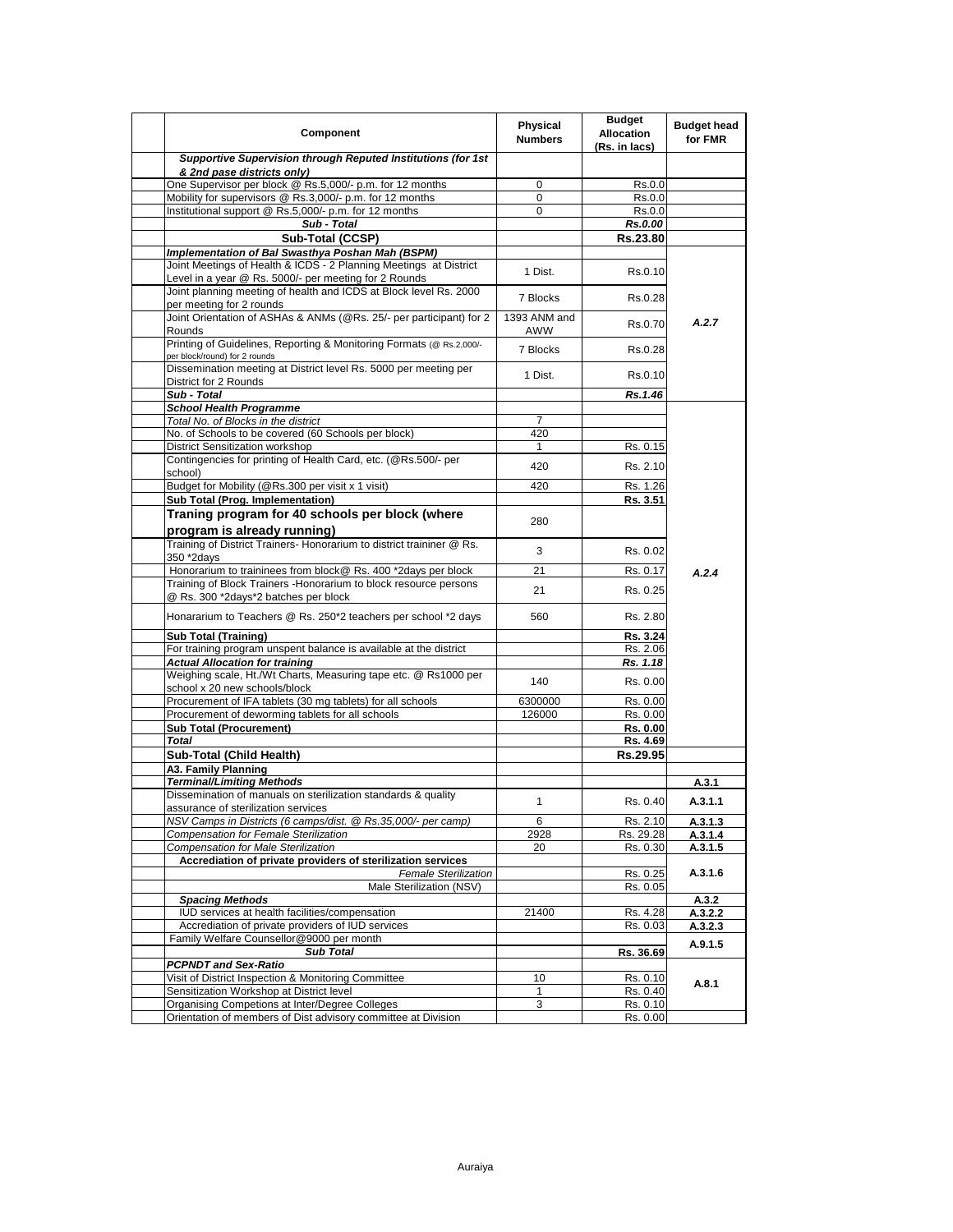| Component                                                                                                                  | Physical<br><b>Numbers</b> | <b>Budget</b><br><b>Allocation</b><br>(Rs. in lacs) | <b>Budget head</b><br>for FMR |
|----------------------------------------------------------------------------------------------------------------------------|----------------------------|-----------------------------------------------------|-------------------------------|
| Supportive Supervision through Reputed Institutions (for 1st<br>& 2nd pase districts only)                                 |                            |                                                     |                               |
| One Supervisor per block @ Rs.5,000/- p.m. for 12 months                                                                   | 0                          | Rs.0.0                                              |                               |
| Mobility for supervisors @ Rs.3,000/- p.m. for 12 months                                                                   | $\Omega$                   | Rs.0.0                                              |                               |
| Institutional support @ Rs.5,000/- p.m. for 12 months                                                                      | $\mathbf 0$                | Rs.0.0                                              |                               |
| Sub - Total                                                                                                                |                            | Rs.0.00                                             |                               |
| Sub-Total (CCSP)                                                                                                           |                            | Rs.23.80                                            |                               |
| Implementation of Bal Swasthya Poshan Mah (BSPM)                                                                           |                            |                                                     |                               |
| Joint Meetings of Health & ICDS - 2 Planning Meetings at District<br>Level in a year @ Rs. 5000/- per meeting for 2 Rounds | 1 Dist.                    | Rs.0.10                                             |                               |
| Joint planning meeting of health and ICDS at Block level Rs. 2000                                                          | 7 Blocks                   | Rs.0.28                                             |                               |
| per meeting for 2 rounds<br>Joint Orientation of ASHAs & ANMs (@Rs. 25/- per participant) for 2                            | 1393 ANM and               | Rs.0.70                                             | A.2.7                         |
| Rounds<br>Printing of Guidelines, Reporting & Monitoring Formats (@ Rs.2,000/-                                             | AWW<br>7 Blocks            | Rs.0.28                                             |                               |
| per block/round) for 2 rounds<br>Dissemination meeting at District level Rs. 5000 per meeting per                          | 1 Dist.                    | Rs.0.10                                             |                               |
| District for 2 Rounds                                                                                                      |                            |                                                     |                               |
| Sub - Total                                                                                                                |                            | Rs.1.46                                             |                               |
| <b>School Health Programme</b>                                                                                             |                            |                                                     |                               |
| Total No. of Blocks in the district                                                                                        | $\overline{7}$             |                                                     |                               |
| No. of Schools to be covered (60 Schools per block)                                                                        | 420                        |                                                     |                               |
| <b>District Sensitization workshop</b>                                                                                     | 1                          | Rs. 0.15                                            |                               |
| Contingencies for printing of Health Card, etc. (@Rs.500/- per<br>school)                                                  | 420                        | Rs. 2.10                                            |                               |
| Budget for Mobility (@Rs.300 per visit x 1 visit)                                                                          | 420                        | Rs. 1.26                                            |                               |
| Sub Total (Prog. Implementation)                                                                                           |                            | Rs. 3.51                                            |                               |
| Traning program for 40 schools per block (where<br>program is already running)                                             | 280                        |                                                     |                               |
| Training of District Trainers- Honorarium to district traininer @ Rs.<br>350 *2days                                        | 3                          | Rs. 0.02                                            |                               |
| Honorarium to traininees from block@ Rs. 400 *2days per block                                                              | 21                         | Rs. 0.17                                            |                               |
| Training of Block Trainers - Honorarium to block resource persons                                                          |                            |                                                     | A.2.4                         |
| @ Rs. 300 *2days*2 batches per block                                                                                       | 21                         | Rs. 0.25                                            |                               |
| Honararium to Teachers @ Rs. 250*2 teachers per school *2 days                                                             | 560                        | Rs. 2.80                                            |                               |
| <b>Sub Total (Training)</b>                                                                                                |                            | Rs. 3.24                                            |                               |
| For training program unspent balance is available at the district                                                          |                            | Rs. 2.06                                            |                               |
| <b>Actual Allocation for training</b>                                                                                      |                            | Rs. 1.18                                            |                               |
| Weighing scale, Ht./Wt Charts, Measuring tape etc. @ Rs1000 per<br>school x 20 new schools/block                           | 140                        | Rs. 0.00                                            |                               |
| Procurement of IFA tablets (30 mg tablets) for all schools                                                                 | 6300000                    | Rs. 0.00                                            |                               |
| Procurement of deworming tablets for all schools                                                                           | 126000                     | Rs. 0.00                                            |                               |
| <b>Sub Total (Procurement)</b>                                                                                             |                            | Rs. 0.00                                            |                               |
| <b>Total</b>                                                                                                               |                            | Rs. 4.69                                            |                               |
| Sub-Total (Child Health)                                                                                                   |                            | Rs.29.95                                            |                               |
| A3. Family Planning                                                                                                        |                            |                                                     |                               |
| Terminal/Limiting Methods                                                                                                  |                            |                                                     | A.3.1                         |
| Dissemination of manuals on sterilization standards & quality<br>assurance of sterilization services                       | $\mathbf{1}$               | Rs. 0.40                                            | A.3.1.1                       |
| NSV Camps in Districts (6 camps/dist. @ Rs.35,000/- per camp)                                                              | 6                          | Rs. 2.10                                            | A.3.1.3                       |
| Compensation for Female Sterilization                                                                                      | 2928                       | Rs. 29.28                                           | A.3.1.4                       |
| <b>Compensation for Male Sterilization</b>                                                                                 | 20                         | Rs. 0.30                                            | A.3.1.5                       |
| Accrediation of private providers of sterilization services                                                                |                            |                                                     |                               |
| <b>Female Sterilization</b>                                                                                                |                            | Rs. 0.25                                            | A.3.1.6                       |
| Male Sterilization (NSV)                                                                                                   |                            | Rs. 0.05                                            |                               |
| <b>Spacing Methods</b>                                                                                                     |                            |                                                     | A.3.2                         |
| IUD services at health facilities/compensation                                                                             | 21400                      | Rs. 4.28                                            | A.3.2.2                       |
| Accrediation of private providers of IUD services                                                                          |                            | Rs. 0.03                                            | A.3.2.3                       |
| Family Welfare Counsellor@9000 per month<br><b>Sub Total</b>                                                               |                            | Rs. 36.69                                           | A.9.1.5                       |
| <b>PCPNDT and Sex-Ratio</b>                                                                                                |                            |                                                     |                               |
| Visit of District Inspection & Monitoring Committee                                                                        | 10                         | Rs. 0.10                                            |                               |
| Sensitization Workshop at District level                                                                                   | 1                          | Rs. 0.40                                            | A.8.1                         |
| Organising Competions at Inter/Degree Colleges                                                                             | 3                          | Rs. 0.10                                            |                               |
| Orientation of members of Dist advisory committee at Division                                                              |                            | Rs. 0.00                                            |                               |
|                                                                                                                            |                            |                                                     |                               |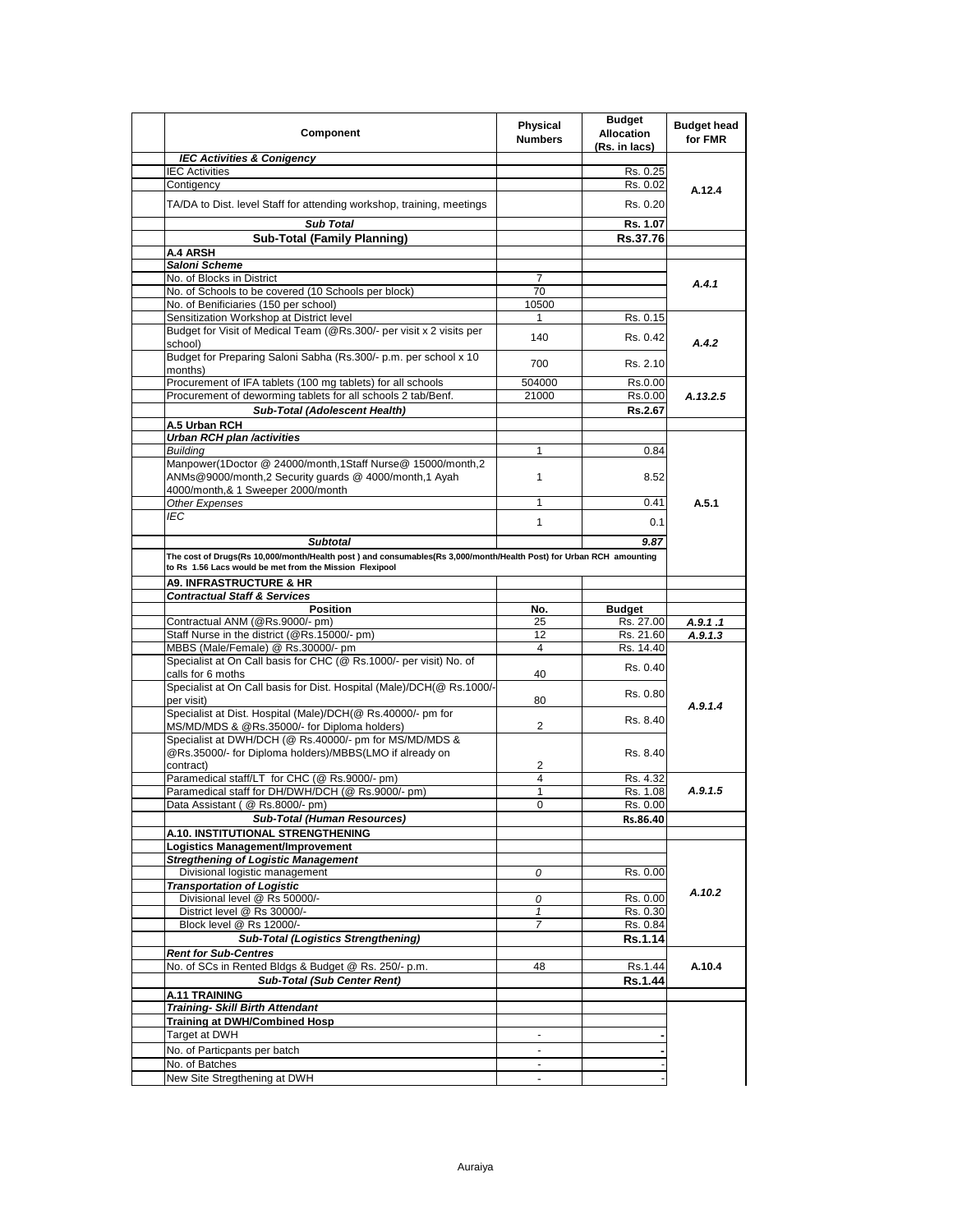| Component                                                                                                                                                | <b>Physical</b><br><b>Numbers</b> | <b>Budget</b><br><b>Allocation</b><br>(Rs. in lacs) | <b>Budget head</b><br>for FMR |
|----------------------------------------------------------------------------------------------------------------------------------------------------------|-----------------------------------|-----------------------------------------------------|-------------------------------|
| <b>IEC Activities &amp; Conigency</b>                                                                                                                    |                                   |                                                     |                               |
| <b>IEC Activities</b>                                                                                                                                    |                                   | Rs. 0.25                                            |                               |
| Contigency                                                                                                                                               |                                   | Rs. 0.02                                            | A.12.4                        |
| TA/DA to Dist. level Staff for attending workshop, training, meetings                                                                                    |                                   | Rs. 0.20                                            |                               |
| <b>Sub Total</b>                                                                                                                                         |                                   | Rs. 1.07                                            |                               |
| <b>Sub-Total (Family Planning)</b>                                                                                                                       |                                   | Rs.37.76                                            |                               |
| A.4 ARSH                                                                                                                                                 |                                   |                                                     |                               |
| Saloni Scheme                                                                                                                                            |                                   |                                                     |                               |
| No. of Blocks in District                                                                                                                                | 7                                 |                                                     |                               |
| No. of Schools to be covered (10 Schools per block)                                                                                                      | 70                                |                                                     | A.4.1                         |
| No. of Benificiaries (150 per school)                                                                                                                    | 10500                             |                                                     |                               |
| Sensitization Workshop at District level                                                                                                                 | 1                                 | Rs. 0.15                                            |                               |
| Budget for Visit of Medical Team (@Rs.300/- per visit x 2 visits per                                                                                     | 140                               | Rs. 0.42                                            |                               |
| school)<br>Budget for Preparing Saloni Sabha (Rs.300/- p.m. per school x 10                                                                              |                                   |                                                     | A.4.2                         |
| months)                                                                                                                                                  | 700                               | Rs. 2.10                                            |                               |
| Procurement of IFA tablets (100 mg tablets) for all schools                                                                                              | 504000                            | Rs.0.00                                             |                               |
| Procurement of deworming tablets for all schools 2 tab/Benf.                                                                                             | 21000                             | Rs.0.00                                             | A.13.2.5                      |
| Sub-Total (Adolescent Health)                                                                                                                            |                                   | Rs.2.67                                             |                               |
| A.5 Urban RCH                                                                                                                                            |                                   |                                                     |                               |
| Urban RCH plan /activities                                                                                                                               |                                   |                                                     |                               |
| <b>Building</b>                                                                                                                                          | $\mathbf{1}$                      | 0.84                                                |                               |
| Manpower(1Doctor @ 24000/month,1Staff Nurse@ 15000/month,2<br>ANMs@9000/month,2 Security guards @ 4000/month,1 Ayah<br>4000/month,& 1 Sweeper 2000/month | 1                                 | 8.52                                                |                               |
| <b>Other Expenses</b>                                                                                                                                    | 1                                 | 0.41                                                | A.5.1                         |
| IEC                                                                                                                                                      |                                   |                                                     |                               |
|                                                                                                                                                          | 1                                 | 0.1                                                 |                               |
| <b>Subtotal</b>                                                                                                                                          |                                   | 9.87                                                |                               |
| The cost of Drugs(Rs 10,000/month/Health post) and consumables(Rs 3,000/month/Health Post) for Urban RCH amounting                                       |                                   |                                                     |                               |
| to Rs 1.56 Lacs would be met from the Mission Flexipool                                                                                                  |                                   |                                                     |                               |
| <b>A9. INFRASTRUCTURE &amp; HR</b>                                                                                                                       |                                   |                                                     |                               |
| <b>Contractual Staff &amp; Services</b>                                                                                                                  |                                   |                                                     |                               |
|                                                                                                                                                          |                                   |                                                     |                               |
|                                                                                                                                                          |                                   |                                                     |                               |
| Position                                                                                                                                                 | No.                               | <b>Budget</b>                                       |                               |
| Contractual ANM (@Rs.9000/- pm)                                                                                                                          | 25                                | Rs. 27.00                                           | A.9.1 .1                      |
| Staff Nurse in the district (@Rs.15000/- pm)                                                                                                             | 12                                | Rs. 21.60                                           | A.9.1.3                       |
| MBBS (Male/Female) @ Rs.30000/- pm                                                                                                                       | $\overline{4}$                    | Rs. 14.40                                           |                               |
| Specialist at On Call basis for CHC (@ Rs.1000/- per visit) No. of<br>calls for 6 moths                                                                  | 40                                | Rs. 0.40                                            |                               |
| Specialist at On Call basis for Dist. Hospital (Male)/DCH(@ Rs.1000/-<br>per visit)                                                                      | 80                                | Rs. 0.80                                            |                               |
| Specialist at Dist. Hospital (Male)/DCH(@ Rs.40000/- pm for                                                                                              |                                   |                                                     | A.9.1.4                       |
| MS/MD/MDS & @Rs.35000/- for Diploma holders)                                                                                                             | $\overline{2}$                    | Rs. 8.40                                            |                               |
| Specialist at DWH/DCH (@ Rs.40000/- pm for MS/MD/MDS &                                                                                                   |                                   |                                                     |                               |
| @Rs.35000/- for Diploma holders)/MBBS(LMO if already on                                                                                                  |                                   | Rs. 8.40                                            |                               |
| contract)                                                                                                                                                | 2                                 |                                                     |                               |
| Paramedical staff/LT for CHC (@ Rs.9000/- pm)                                                                                                            | 4                                 | Rs. 4.32                                            |                               |
| Paramedical staff for DH/DWH/DCH (@ Rs.9000/- pm)                                                                                                        | 1                                 | Rs. 1.08                                            | A.9.1.5                       |
| Data Assistant ( @ Rs.8000/- pm)                                                                                                                         | 0                                 | Rs. 0.00                                            |                               |
| <b>Sub-Total (Human Resources)</b>                                                                                                                       |                                   | Rs.86.40                                            |                               |
|                                                                                                                                                          |                                   |                                                     |                               |
| A.10. INSTITUTIONAL STRENGTHENING                                                                                                                        |                                   |                                                     |                               |
| <b>Logistics Management/Improvement</b>                                                                                                                  |                                   |                                                     |                               |
| <b>Stregthening of Logistic Management</b>                                                                                                               |                                   |                                                     |                               |
| Divisional logistic management                                                                                                                           | 0                                 | Rs. 0.00                                            |                               |
| <b>Transportation of Logistic</b>                                                                                                                        |                                   |                                                     | A.10.2                        |
| Divisional level @ Rs 50000/-                                                                                                                            | 0                                 | Rs. 0.00                                            |                               |
| District level @ Rs 30000/-                                                                                                                              | 1                                 | Rs. 0.30                                            |                               |
| Block level @ Rs 12000/-                                                                                                                                 | 7                                 | Rs. 0.84                                            |                               |
| <b>Sub-Total (Logistics Strengthening)</b>                                                                                                               |                                   | <b>Rs.1.14</b>                                      |                               |
| <b>Rent for Sub-Centres</b>                                                                                                                              |                                   |                                                     |                               |
| No. of SCs in Rented Bldgs & Budget @ Rs. 250/- p.m.                                                                                                     | 48                                | Rs.1.44                                             | A.10.4                        |
| <b>Sub-Total (Sub Center Rent)</b>                                                                                                                       |                                   | <b>Rs.1.44</b>                                      |                               |
| A.11 TRAINING                                                                                                                                            |                                   |                                                     |                               |
| <b>Training- Skill Birth Attendant</b>                                                                                                                   |                                   |                                                     |                               |
| <b>Training at DWH/Combined Hosp</b>                                                                                                                     |                                   |                                                     |                               |
| Target at DWH                                                                                                                                            | ä,                                |                                                     |                               |
| No. of Particpants per batch                                                                                                                             |                                   |                                                     |                               |
| No. of Batches<br>New Site Stregthening at DWH                                                                                                           | ä,                                |                                                     |                               |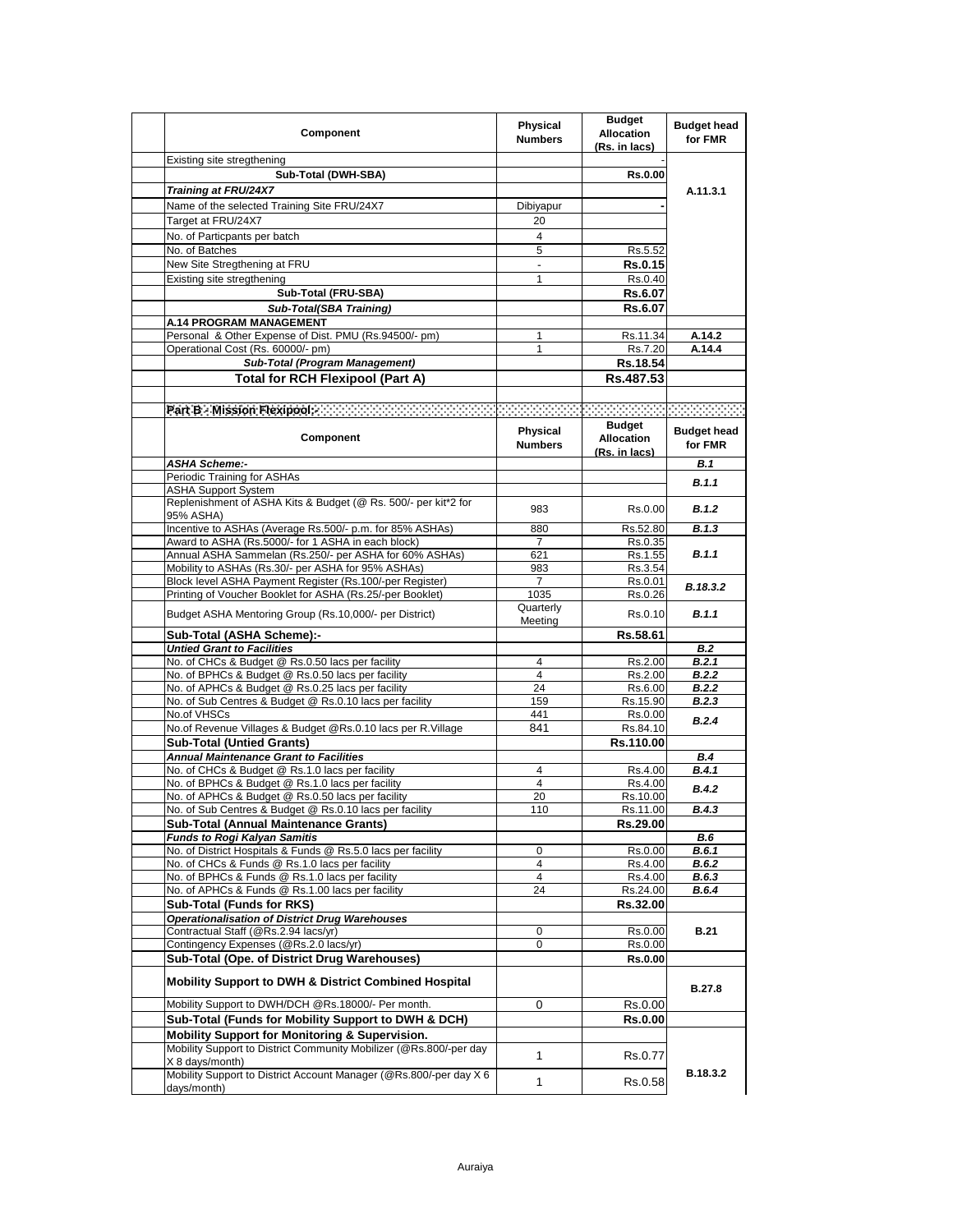| Component                                                                                                             | Physical<br><b>Numbers</b> | <b>Budget</b><br><b>Allocation</b><br>(Rs. in lacs) | <b>Budget head</b><br>for FMR |
|-----------------------------------------------------------------------------------------------------------------------|----------------------------|-----------------------------------------------------|-------------------------------|
| Existing site stregthening                                                                                            |                            |                                                     |                               |
| Sub-Total (DWH-SBA)                                                                                                   |                            | <b>Rs.0.00</b>                                      |                               |
| Training at FRU/24X7                                                                                                  |                            |                                                     | A.11.3.1                      |
| Name of the selected Training Site FRU/24X7                                                                           | Dibiyapur                  |                                                     |                               |
| Target at FRU/24X7                                                                                                    | 20                         |                                                     |                               |
| No. of Particpants per batch                                                                                          | 4                          |                                                     |                               |
| No. of Batches                                                                                                        | 5                          | Rs.5.52                                             |                               |
| New Site Stregthening at FRU                                                                                          | $\overline{\phantom{a}}$   | <b>Rs.0.15</b>                                      |                               |
| Existing site stregthening                                                                                            | 1                          | Rs.0.40                                             |                               |
| Sub-Total (FRU-SBA)                                                                                                   |                            | <b>Rs.6.07</b>                                      |                               |
| Sub-Total(SBA Training)                                                                                               |                            | <b>Rs.6.07</b>                                      |                               |
| <b>A.14 PROGRAM MANAGEMENT</b>                                                                                        |                            |                                                     |                               |
| Personal & Other Expense of Dist. PMU (Rs.94500/- pm)                                                                 | 1                          | Rs.11.34                                            | A.14.2                        |
| Operational Cost (Rs. 60000/- pm)                                                                                     | 1                          | Rs.7.20                                             | A.14.4                        |
| Sub-Total (Program Management)                                                                                        |                            | Rs.18.54                                            |                               |
| <b>Total for RCH Flexipool (Part A)</b>                                                                               |                            | Rs.487.53                                           |                               |
|                                                                                                                       |                            |                                                     |                               |
| Part B : Mission Flexipidity and accountant contract the contract of the contract of the contract of                  |                            |                                                     |                               |
| Component                                                                                                             | Physical<br><b>Numbers</b> | <b>Budget</b><br><b>Allocation</b>                  | <b>Budget head</b><br>for FMR |
| <b>ASHA Scheme:-</b>                                                                                                  |                            | (Rs. in lacs)                                       | <b>B.1</b>                    |
| Periodic Training for ASHAs                                                                                           |                            |                                                     |                               |
| <b>ASHA Support System</b>                                                                                            |                            |                                                     | <b>B.1.1</b>                  |
| Replenishment of ASHA Kits & Budget (@ Rs. 500/- per kit*2 for<br>95% ASHA)                                           | 983                        | Rs.0.00                                             | <b>B.1.2</b>                  |
| Incentive to ASHAs (Average Rs.500/- p.m. for 85% ASHAs)                                                              | 880                        | Rs.52.80                                            | B.1.3                         |
| Award to ASHA (Rs.5000/- for 1 ASHA in each block)                                                                    | 7                          | Rs.0.35                                             |                               |
| Annual ASHA Sammelan (Rs.250/- per ASHA for 60% ASHAs)                                                                | 621                        | Rs.1.55                                             | B.1.1                         |
| Mobility to ASHAs (Rs.30/- per ASHA for 95% ASHAs)                                                                    | 983                        | Rs.3.54                                             |                               |
| Block level ASHA Payment Register (Rs.100/-per Register)<br>Printing of Voucher Booklet for ASHA (Rs.25/-per Booklet) | $\overline{7}$<br>1035     | Rs.0.01                                             | B.18.3.2                      |
|                                                                                                                       | Quarterly                  | Rs.0.26                                             |                               |
| Budget ASHA Mentoring Group (Rs.10,000/- per District)<br>Sub-Total (ASHA Scheme):-                                   | Meeting                    | Rs.0.10<br>Rs.58.61                                 | B.1.1                         |
| <b>Untied Grant to Facilities</b>                                                                                     |                            |                                                     | <b>B.2</b>                    |
| No. of CHCs & Budget @ Rs.0.50 lacs per facility                                                                      | 4                          | Rs.2.00                                             | <b>B.2.1</b>                  |
| No. of BPHCs & Budget @ Rs.0.50 lacs per facility                                                                     | 4                          | Rs.2.00                                             | B.2.2                         |
| No. of APHCs & Budget @ Rs.0.25 lacs per facility                                                                     | 24                         | Rs.6.00                                             | B.2.2                         |
| No. of Sub Centres & Budget @ Rs.0.10 lacs per facility                                                               | 159                        | Rs.15.90                                            | <b>B.2.3</b>                  |
| No.of VHSCs                                                                                                           | 441                        | Rs.0.00                                             | B.2.4                         |
| No.of Revenue Villages & Budget @Rs.0.10 lacs per R.Village                                                           | 841                        | Rs.84.10                                            |                               |
| <b>Sub-Total (Untied Grants)</b>                                                                                      |                            | Rs.110.00                                           |                               |
| <b>Annual Maintenance Grant to Facilities</b>                                                                         |                            |                                                     | B.4                           |
| No. of CHCs & Budget @ Rs.1.0 lacs per facility                                                                       | 4                          | Rs.4.00                                             | <b>B.4.1</b>                  |
| No. of BPHCs & Budget @ Rs.1.0 lacs per facility                                                                      | 4                          | Rs.4.00                                             | B.4.2                         |
| No. of APHCs & Budget @ Rs.0.50 lacs per facility                                                                     | 20                         | Rs.10.00                                            |                               |
| No. of Sub Centres & Budget @ Rs.0.10 lacs per facility                                                               | 110                        | Rs.11.00                                            | B.4.3                         |
| Sub-Total (Annual Maintenance Grants)                                                                                 |                            | Rs.29.00                                            |                               |
| <b>Funds to Rogi Kalyan Samitis</b><br>No. of District Hospitals & Funds @ Rs.5.0 lacs per facility                   | 0                          |                                                     | B.6                           |
| No. of CHCs & Funds @ Rs.1.0 lacs per facility                                                                        | 4                          | Rs.0.00<br>Rs.4.00                                  | B.6.1<br>B.6.2                |
| No. of BPHCs & Funds @ Rs.1.0 lacs per facility                                                                       | 4                          | Rs.4.00                                             | B.6.3                         |
| No. of APHCs & Funds @ Rs.1.00 lacs per facility                                                                      | 24                         | Rs.24.00                                            | B.6.4                         |
| Sub-Total (Funds for RKS)                                                                                             |                            | Rs.32.00                                            |                               |
| <b>Operationalisation of District Drug Warehouses</b>                                                                 |                            |                                                     |                               |
| Contractual Staff (@Rs.2.94 lacs/yr)                                                                                  | 0                          | Rs.0.00                                             | <b>B.21</b>                   |
| Contingency Expenses (@Rs.2.0 lacs/yr)                                                                                | 0                          | Rs.0.00                                             |                               |
| Sub-Total (Ope. of District Drug Warehouses)                                                                          |                            | <b>Rs.0.00</b>                                      |                               |
| <b>Mobility Support to DWH &amp; District Combined Hospital</b>                                                       |                            |                                                     | <b>B.27.8</b>                 |
| Mobility Support to DWH/DCH @Rs.18000/- Per month.                                                                    | 0                          | Rs.0.00                                             |                               |
| Sub-Total (Funds for Mobility Support to DWH & DCH)                                                                   |                            | <b>Rs.0.00</b>                                      |                               |
| Mobility Support for Monitoring & Supervision.                                                                        |                            |                                                     |                               |
| Mobility Support to District Community Mobilizer (@Rs.800/-per day                                                    |                            |                                                     |                               |
| X 8 days/month)                                                                                                       | 1                          | Rs.0.77                                             |                               |
| Mobility Support to District Account Manager (@Rs.800/-per day X 6<br>days/month)                                     | 1                          | Rs.0.58                                             | B.18.3.2                      |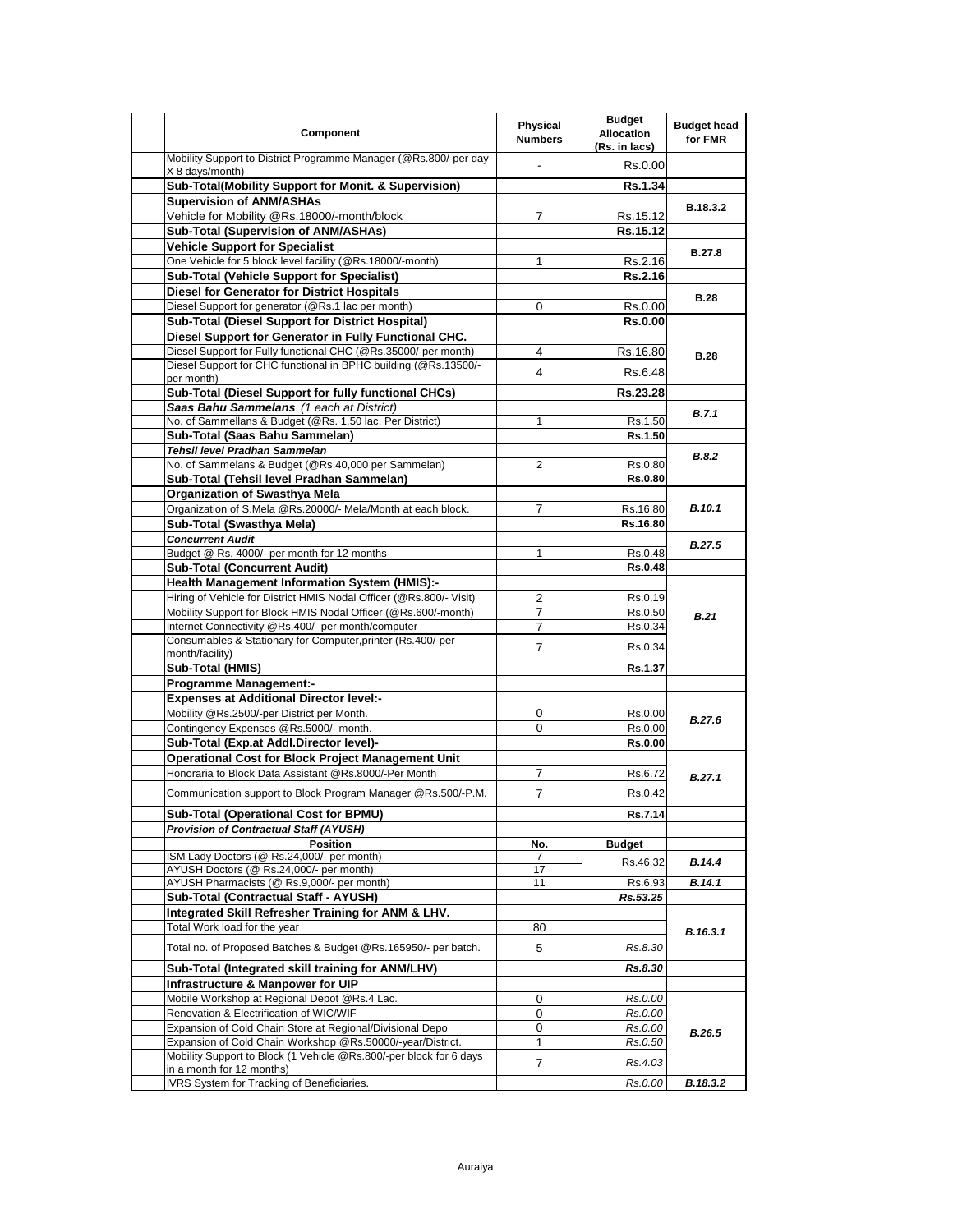| Component                                                                                        | Physical<br><b>Numbers</b> | <b>Budget</b><br><b>Allocation</b><br>(Rs. in lacs) | <b>Budget head</b><br>for FMR |
|--------------------------------------------------------------------------------------------------|----------------------------|-----------------------------------------------------|-------------------------------|
| Mobility Support to District Programme Manager (@Rs.800/-per day<br>X 8 days/month)              |                            | Rs.0.00                                             |                               |
| Sub-Total(Mobility Support for Monit. & Supervision)                                             |                            | Rs.1.34                                             |                               |
| <b>Supervision of ANM/ASHAs</b>                                                                  |                            |                                                     | B.18.3.2                      |
| Vehicle for Mobility @Rs.18000/-month/block                                                      | 7                          | Rs.15.12                                            |                               |
| Sub-Total (Supervision of ANM/ASHAs)                                                             |                            | Rs.15.12                                            |                               |
| <b>Vehicle Support for Specialist</b>                                                            |                            |                                                     | <b>B.27.8</b>                 |
| One Vehicle for 5 block level facility (@Rs.18000/-month)                                        | 1                          | Rs.2.16                                             |                               |
| <b>Sub-Total (Vehicle Support for Specialist)</b>                                                |                            | Rs.2.16                                             |                               |
| <b>Diesel for Generator for District Hospitals</b>                                               |                            |                                                     | <b>B.28</b>                   |
| Diesel Support for generator (@Rs.1 lac per month)                                               | 0                          | Rs.0.00                                             |                               |
| <b>Sub-Total (Diesel Support for District Hospital)</b>                                          |                            | <b>Rs.0.00</b>                                      |                               |
| Diesel Support for Generator in Fully Functional CHC.                                            |                            |                                                     |                               |
| Diesel Support for Fully functional CHC (@Rs.35000/-per month)                                   | 4                          | Rs.16.80                                            | <b>B.28</b>                   |
| Diesel Support for CHC functional in BPHC building (@Rs.13500/-                                  | 4                          | Rs.6.48                                             |                               |
| per month)                                                                                       |                            |                                                     |                               |
| Sub-Total (Diesel Support for fully functional CHCs)<br>Saas Bahu Sammelans (1 each at District) |                            | Rs.23.28                                            |                               |
| No. of Sammellans & Budget (@Rs. 1.50 lac. Per District)                                         | 1                          | Rs.1.50                                             | B.7.1                         |
| Sub-Total (Saas Bahu Sammelan)                                                                   |                            | Rs.1.50                                             |                               |
| Tehsil level Pradhan Sammelan                                                                    |                            |                                                     |                               |
| No. of Sammelans & Budget (@Rs.40,000 per Sammelan)                                              | 2                          | Rs.0.80                                             | <b>B.8.2</b>                  |
| Sub-Total (Tehsil level Pradhan Sammelan)                                                        |                            | <b>Rs.0.80</b>                                      |                               |
| Organization of Swasthya Mela                                                                    |                            |                                                     |                               |
| Organization of S.Mela @Rs.20000/- Mela/Month at each block.                                     | 7                          | Rs.16.80                                            | <b>B.10.1</b>                 |
| Sub-Total (Swasthya Mela)                                                                        |                            | Rs.16.80                                            |                               |
| <b>Concurrent Audit</b>                                                                          |                            |                                                     |                               |
| Budget @ Rs. 4000/- per month for 12 months                                                      | 1                          | Rs.0.48                                             | <b>B.27.5</b>                 |
| <b>Sub-Total (Concurrent Audit)</b>                                                              |                            | <b>Rs.0.48</b>                                      |                               |
| Health Management Information System (HMIS):-                                                    |                            |                                                     |                               |
| Hiring of Vehicle for District HMIS Nodal Officer (@Rs.800/- Visit)                              | 2                          | Rs.0.19                                             |                               |
| Mobility Support for Block HMIS Nodal Officer (@Rs.600/-month)                                   | 7                          | Rs.0.50                                             | <b>B.21</b>                   |
| Internet Connectivity @Rs.400/- per month/computer                                               | 7                          | Rs.0.34                                             |                               |
| Consumables & Stationary for Computer, printer (Rs.400/-per                                      | 7                          | Rs.0.34                                             |                               |
| month/facility)                                                                                  |                            |                                                     |                               |
| Sub-Total (HMIS)                                                                                 |                            | Rs.1.37                                             |                               |
| <b>Programme Management:-</b>                                                                    |                            |                                                     |                               |
| <b>Expenses at Additional Director level:-</b>                                                   |                            |                                                     |                               |
| Mobility @Rs.2500/-per District per Month.                                                       | 0                          | Rs.0.00                                             | B.27.6                        |
| Contingency Expenses @Rs.5000/- month.                                                           | 0                          | Rs.0.00                                             |                               |
| Sub-Total (Exp.at Addl.Director level)-                                                          |                            | Rs.0.00                                             |                               |
| <b>Operational Cost for Block Project Management Unit</b>                                        |                            |                                                     |                               |
| Honoraria to Block Data Assistant @Rs.8000/-Per Month                                            | 7                          | Rs.6.72                                             | B.27.1                        |
| Communication support to Block Program Manager @Rs.500/-P.M.                                     | $\overline{7}$             | Rs.0.42                                             |                               |
| Sub-Total (Operational Cost for BPMU)                                                            |                            | Rs.7.14                                             |                               |
| <b>Provision of Contractual Staff (AYUSH)</b>                                                    |                            |                                                     |                               |
| <b>Position</b>                                                                                  | No.                        | <b>Budget</b>                                       |                               |
| ISM Lady Doctors (@ Rs.24,000/- per month)                                                       | $\prime$                   | Rs.46.32                                            | B.14.4                        |
| AYUSH Doctors (@ Rs.24,000/- per month)                                                          | 17                         |                                                     |                               |
| AYUSH Pharmacists (@ Rs.9,000/- per month)<br>Sub-Total (Contractual Staff - AYUSH)              | 11                         | Rs.6.93<br>Rs.53.25                                 | B.14.1                        |
| Integrated Skill Refresher Training for ANM & LHV.                                               |                            |                                                     |                               |
| Total Work load for the year                                                                     | 80                         |                                                     |                               |
|                                                                                                  |                            |                                                     | B.16.3.1                      |
| Total no. of Proposed Batches & Budget @Rs.165950/- per batch.                                   | 5                          | Rs.8.30                                             |                               |
| Sub-Total (Integrated skill training for ANM/LHV)                                                |                            | Rs.8.30                                             |                               |
| Infrastructure & Manpower for UIP                                                                |                            |                                                     |                               |
| Mobile Workshop at Regional Depot @Rs.4 Lac.                                                     | 0                          | Rs.0.00                                             |                               |
| Renovation & Electrification of WIC/WIF                                                          | 0                          | Rs.0.00                                             | B.26.5                        |
| Expansion of Cold Chain Store at Regional/Divisional Depo                                        | 0                          | Rs.0.00                                             |                               |
| Expansion of Cold Chain Workshop @Rs.50000/-year/District.                                       | $\mathbf{1}$               | Rs.0.50                                             |                               |
| Mobility Support to Block (1 Vehicle @Rs.800/-per block for 6 days                               | $\overline{7}$             | Rs.4.03                                             |                               |
| in a month for 12 months)<br>IVRS System for Tracking of Beneficiaries.                          |                            | Rs.0.00                                             | B.18.3.2                      |
|                                                                                                  |                            |                                                     |                               |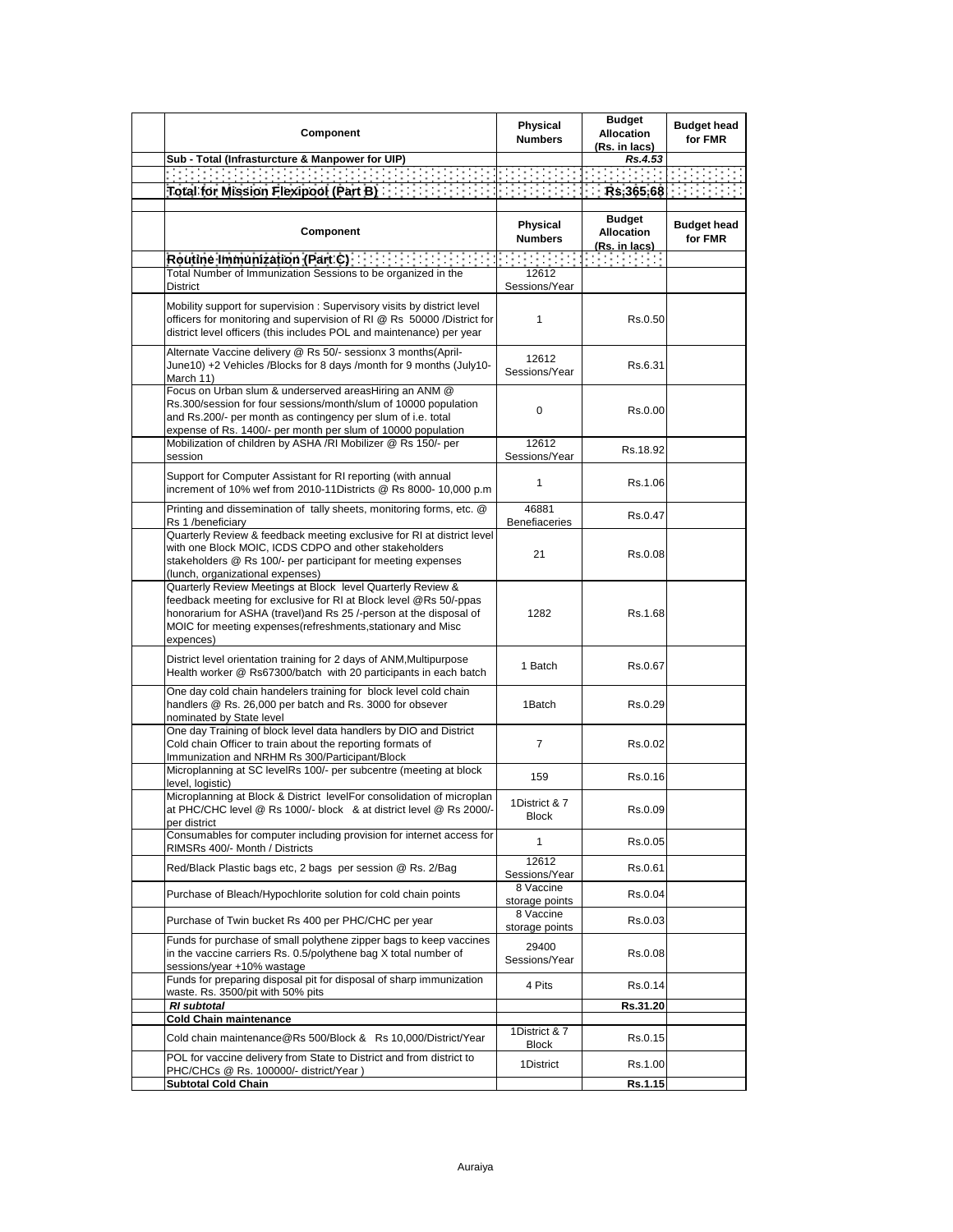| Component                                                                                                                                                                                                                                                                          | Physical<br><b>Numbers</b>    | <b>Budget</b><br><b>Allocation</b><br>(Rs. in lacs) | <b>Budget head</b><br>for FMR |
|------------------------------------------------------------------------------------------------------------------------------------------------------------------------------------------------------------------------------------------------------------------------------------|-------------------------------|-----------------------------------------------------|-------------------------------|
| Sub - Total (Infrasturcture & Manpower for UIP)                                                                                                                                                                                                                                    |                               | Rs.4.53                                             |                               |
| an na mga kalamin kalaw                                                                                                                                                                                                                                                            |                               | an an Sala                                          |                               |
| Total for Mission Flexipool (Part B) [1999]                                                                                                                                                                                                                                        | <b>Contract Contract</b>      | Rs.365.68                                           |                               |
|                                                                                                                                                                                                                                                                                    |                               |                                                     |                               |
| Component                                                                                                                                                                                                                                                                          | Physical<br><b>Numbers</b>    | <b>Budget</b><br>Allocation<br><u>(Rs. in lacs)</u> | <b>Budget head</b><br>for FMR |
| Routine Immunization (Part C) [11] [11] Routine Immunization (Part C)                                                                                                                                                                                                              | रस्कार स                      |                                                     |                               |
| Total Number of Immunization Sessions to be organized in the<br>District                                                                                                                                                                                                           | 12612<br>Sessions/Year        |                                                     |                               |
| Mobility support for supervision: Supervisory visits by district level<br>officers for monitoring and supervision of RI @ Rs 50000 / District for<br>district level officers (this includes POL and maintenance) per year                                                          | 1                             | Rs.0.50                                             |                               |
| Alternate Vaccine delivery @ Rs 50/- sessionx 3 months(April-<br>June10) +2 Vehicles /Blocks for 8 days /month for 9 months (July10-<br>March 11)                                                                                                                                  | 12612<br>Sessions/Year        | Rs.6.31                                             |                               |
| Focus on Urban slum & underserved areasHiring an ANM @<br>Rs.300/session for four sessions/month/slum of 10000 population<br>and Rs.200/- per month as contingency per slum of i.e. total<br>expense of Rs. 1400/- per month per slum of 10000 population                          | 0                             | Rs.0.00                                             |                               |
| Mobilization of children by ASHA /RI Mobilizer @ Rs 150/- per<br>session                                                                                                                                                                                                           | 12612<br>Sessions/Year        | Rs.18.92                                            |                               |
| Support for Computer Assistant for RI reporting (with annual<br>increment of 10% wef from 2010-11Districts @ Rs 8000- 10,000 p.m                                                                                                                                                   | 1                             | Rs.1.06                                             |                               |
| Printing and dissemination of tally sheets, monitoring forms, etc. @<br>Rs 1 /beneficiary                                                                                                                                                                                          | 46881<br>Benefiaceries        | Rs.0.47                                             |                               |
| Quarterly Review & feedback meeting exclusive for RI at district level<br>with one Block MOIC, ICDS CDPO and other stakeholders<br>stakeholders @ Rs 100/- per participant for meeting expenses<br>(lunch, organizational expenses)                                                | 21                            | Rs.0.08                                             |                               |
| Quarterly Review Meetings at Block level Quarterly Review &<br>feedback meeting for exclusive for RI at Block level @Rs 50/-ppas<br>honorarium for ASHA (travel) and Rs 25 /-person at the disposal of<br>MOIC for meeting expenses(refreshments, stationary and Misc<br>expences) | 1282                          | Rs.1.68                                             |                               |
| District level orientation training for 2 days of ANM, Multipurpose<br>Health worker @ Rs67300/batch with 20 participants in each batch                                                                                                                                            | 1 Batch                       | Rs.0.67                                             |                               |
| One day cold chain handelers training for block level cold chain<br>handlers @ Rs. 26,000 per batch and Rs. 3000 for obsever<br>nominated by State level                                                                                                                           | 1Batch                        | Rs.0.29                                             |                               |
| One day Training of block level data handlers by DIO and District<br>Cold chain Officer to train about the reporting formats of<br>Immunization and NRHM Rs 300/Participant/Block                                                                                                  | $\overline{7}$                | Rs.0.02                                             |                               |
| Microplanning at SC levelRs 100/- per subcentre (meeting at block<br>level, logistic)                                                                                                                                                                                              | 159                           | Rs.0.16                                             |                               |
| Microplanning at Block & District levelFor consolidation of microplan<br>at PHC/CHC level @ Rs 1000/- block & at district level @ Rs 2000/-<br>per district                                                                                                                        | 1District & 7<br><b>Block</b> | Rs.0.09                                             |                               |
| Consumables for computer including provision for internet access for<br>RIMSRs 400/- Month / Districts                                                                                                                                                                             | $\mathbf{1}$                  | Rs.0.05                                             |                               |
| Red/Black Plastic bags etc, 2 bags per session @ Rs. 2/Bag                                                                                                                                                                                                                         | 12612<br>Sessions/Year        | Rs.0.61                                             |                               |
| Purchase of Bleach/Hypochlorite solution for cold chain points                                                                                                                                                                                                                     | 8 Vaccine<br>storage points   | Rs.0.04                                             |                               |
| Purchase of Twin bucket Rs 400 per PHC/CHC per year                                                                                                                                                                                                                                | 8 Vaccine<br>storage points   | Rs.0.03                                             |                               |
| Funds for purchase of small polythene zipper bags to keep vaccines<br>in the vaccine carriers Rs. 0.5/polythene bag X total number of<br>sessions/year +10% wastage                                                                                                                | 29400<br>Sessions/Year        | Rs.0.08                                             |                               |
| Funds for preparing disposal pit for disposal of sharp immunization<br>waste. Rs. 3500/pit with 50% pits                                                                                                                                                                           | 4 Pits                        | Rs.0.14                                             |                               |
| RI subtotal                                                                                                                                                                                                                                                                        |                               | Rs.31.20                                            |                               |
| <b>Cold Chain maintenance</b><br>Cold chain maintenance@Rs 500/Block & Rs 10,000/District/Year                                                                                                                                                                                     | 1District & 7                 | Rs.0.15                                             |                               |
| POL for vaccine delivery from State to District and from district to                                                                                                                                                                                                               | <b>Block</b><br>1District     | Rs.1.00                                             |                               |
| PHC/CHCs @ Rs. 100000/- district/Year)<br><b>Subtotal Cold Chain</b>                                                                                                                                                                                                               |                               | Rs.1.15                                             |                               |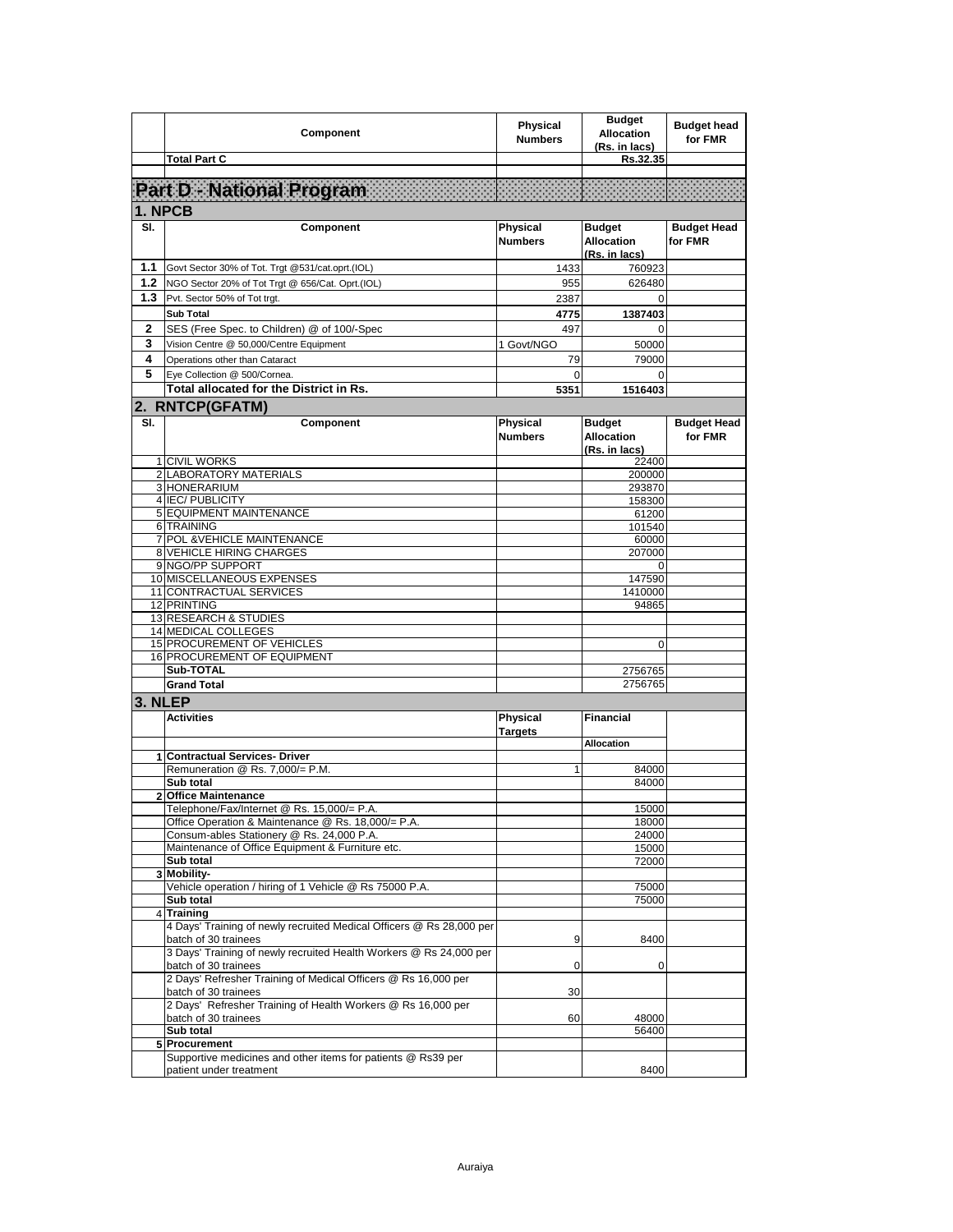|         | Component                                                                                    | Physical<br><b>Numbers</b> | <b>Budget</b><br><b>Allocation</b><br>(Rs. in lacs) | <b>Budget head</b><br>for FMR |
|---------|----------------------------------------------------------------------------------------------|----------------------------|-----------------------------------------------------|-------------------------------|
|         | <b>Total Part C</b>                                                                          |                            | Rs.32.35                                            |                               |
|         |                                                                                              |                            |                                                     |                               |
|         | Part D National Program                                                                      |                            |                                                     |                               |
|         |                                                                                              |                            |                                                     |                               |
| 1. NPCB |                                                                                              |                            |                                                     |                               |
| SI.     | Component                                                                                    | Physical<br><b>Numbers</b> | <b>Budget</b><br><b>Allocation</b><br>(Rs. in lacs) | <b>Budget Head</b><br>for FMR |
| 1.1     | Govt Sector 30% of Tot. Trgt @531/cat.oprt.(IOL)                                             | 1433                       | 760923                                              |                               |
| 1.2     | NGO Sector 20% of Tot Trgt @ 656/Cat. Oprt.(IOL)                                             | 955                        | 626480                                              |                               |
| 1.3     | Pvt. Sector 50% of Tot trgt.                                                                 | 2387                       | 0                                                   |                               |
|         | <b>Sub Total</b>                                                                             | 4775                       | 1387403                                             |                               |
| 2       | SES (Free Spec. to Children) @ of 100/-Spec                                                  | 497                        | $\Omega$                                            |                               |
| 3       | Vision Centre @ 50,000/Centre Equipment                                                      | 1 Govt/NGO                 | 50000                                               |                               |
| 4       | Operations other than Cataract                                                               | 79                         | 79000                                               |                               |
| 5       | Eye Collection @ 500/Cornea.                                                                 | 0                          | $\mathbf 0$                                         |                               |
|         | Total allocated for the District in Rs.                                                      | 5351                       | 1516403                                             |                               |
|         |                                                                                              |                            |                                                     |                               |
|         | 2. RNTCP(GFATM)                                                                              |                            |                                                     |                               |
| SI.     | Component                                                                                    | Physical<br><b>Numbers</b> | <b>Budget</b><br><b>Allocation</b><br>(Rs. in lacs) | <b>Budget Head</b><br>for FMR |
|         | <b>1 CIVIL WORKS</b>                                                                         |                            | 22400                                               |                               |
|         | 2 LABORATORY MATERIALS                                                                       |                            | 200000                                              |                               |
|         | 3 HONERARIUM                                                                                 |                            | 293870                                              |                               |
|         | 4 IEC/ PUBLICITY<br><b>5 EQUIPMENT MAINTENANCE</b>                                           |                            | 158300                                              |                               |
|         | 6 TRAINING                                                                                   |                            | 61200<br>101540                                     |                               |
|         | 7 POL & VEHICLE MAINTENANCE                                                                  |                            | 60000                                               |                               |
|         | <b>8 VEHICLE HIRING CHARGES</b>                                                              |                            | 207000                                              |                               |
|         | 9 NGO/PP SUPPORT                                                                             |                            | 0                                                   |                               |
|         | 10 MISCELLANEOUS EXPENSES                                                                    |                            | 147590                                              |                               |
|         | 11 CONTRACTUAL SERVICES                                                                      |                            | 1410000                                             |                               |
|         | 12 PRINTING                                                                                  |                            | 94865                                               |                               |
|         | 13 RESEARCH & STUDIES<br>14 MEDICAL COLLEGES                                                 |                            |                                                     |                               |
|         | <b>15 PROCUREMENT OF VEHICLES</b>                                                            |                            | 0                                                   |                               |
|         | 16 PROCUREMENT OF EQUIPMENT                                                                  |                            |                                                     |                               |
|         | Sub-TOTAL                                                                                    |                            | 2756765                                             |                               |
|         | <b>Grand Total</b>                                                                           |                            | 2756765                                             |                               |
| 3. NLEP |                                                                                              |                            |                                                     |                               |
|         | <b>Activities</b>                                                                            | <b>Physical</b><br>Targets | <b>Financial</b>                                    |                               |
|         |                                                                                              |                            | <b>Allocation</b>                                   |                               |
|         | 1 Contractual Services- Driver<br>Remuneration @ Rs. 7.000/= P.M.                            |                            |                                                     |                               |
|         | Sub total                                                                                    | 1                          | 84000<br>84000                                      |                               |
|         | <b>Office Maintenance</b>                                                                    |                            |                                                     |                               |
|         | Telephone/Fax/Internet @ Rs. 15,000/= P.A.                                                   |                            | 15000                                               |                               |
|         | Office Operation & Maintenance @ Rs. 18,000/= P.A.                                           |                            | 18000                                               |                               |
|         | Consum-ables Stationery @ Rs. 24,000 P.A.                                                    |                            | 24000                                               |                               |
|         | Maintenance of Office Equipment & Furniture etc.                                             |                            | 15000                                               |                               |
|         | Sub total                                                                                    |                            | 72000                                               |                               |
|         | 3 Mobility-<br>Vehicle operation / hiring of 1 Vehicle @ Rs 75000 P.A.                       |                            | 75000                                               |                               |
|         | Sub total                                                                                    |                            | 75000                                               |                               |
|         | 4 Training                                                                                   |                            |                                                     |                               |
|         | 4 Days' Training of newly recruited Medical Officers @ Rs 28,000 per<br>batch of 30 trainees | 9                          | 8400                                                |                               |
|         | 3 Days' Training of newly recruited Health Workers @ Rs 24,000 per<br>batch of 30 trainees   | 0                          | 0                                                   |                               |
|         | 2 Days' Refresher Training of Medical Officers @ Rs 16,000 per<br>batch of 30 trainees       | 30                         |                                                     |                               |
|         | 2 Days' Refresher Training of Health Workers @ Rs 16,000 per<br>batch of 30 trainees         | 60                         | 48000                                               |                               |
|         | Sub total<br>5 Procurement                                                                   |                            | 56400                                               |                               |
|         | Supportive medicines and other items for patients @ Rs39 per                                 |                            |                                                     |                               |
|         | patient under treatment                                                                      |                            | 8400                                                |                               |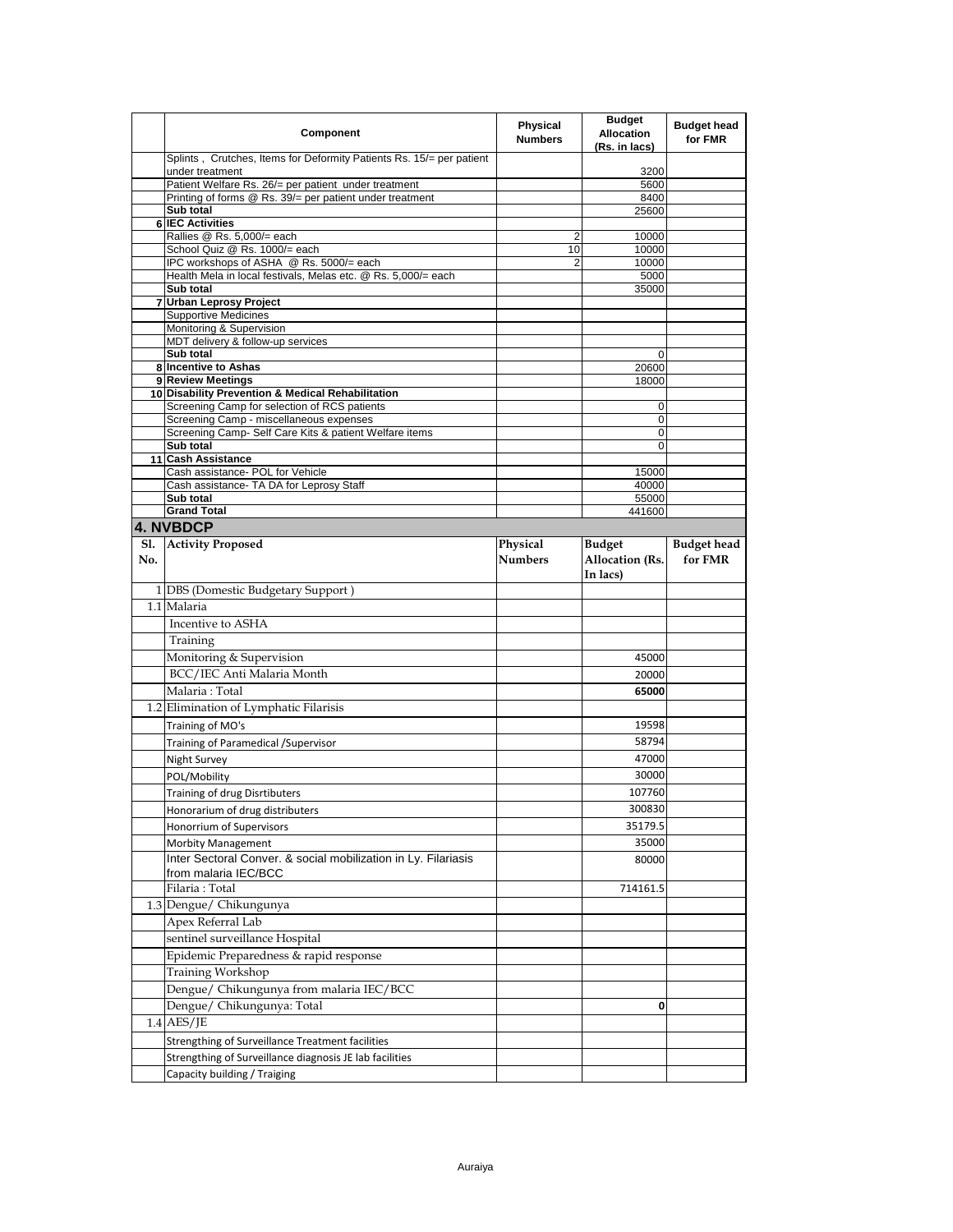|            | Component                                                                                         | <b>Physical</b><br><b>Numbers</b> | <b>Budget</b><br><b>Allocation</b><br>(Rs. in lacs) | <b>Budget head</b><br>for FMR |
|------------|---------------------------------------------------------------------------------------------------|-----------------------------------|-----------------------------------------------------|-------------------------------|
|            | Splints, Crutches, Items for Deformity Patients Rs. 15/= per patient<br>under treatment           |                                   | 3200                                                |                               |
|            | Patient Welfare Rs. 26/= per patient under treatment                                              |                                   | 5600                                                |                               |
|            | Printing of forms @ Rs. 39/= per patient under treatment                                          |                                   | 8400                                                |                               |
|            | Sub total                                                                                         |                                   | 25600                                               |                               |
|            | <b>6 IEC Activities</b><br>Rallies @ Rs. 5,000/= each                                             | 2                                 | 10000                                               |                               |
|            | School Quiz @ Rs. 1000/= each                                                                     | 10                                | 10000                                               |                               |
|            | IPC workshops of ASHA @ Rs. 5000/= each                                                           | 2                                 | 10000                                               |                               |
|            | Health Mela in local festivals, Melas etc. @ Rs. 5,000/= each                                     |                                   | 5000                                                |                               |
|            | Sub total                                                                                         |                                   | 35000                                               |                               |
|            | 7 Urban Leprosy Project<br><b>Supportive Medicines</b>                                            |                                   |                                                     |                               |
|            | Monitoring & Supervision                                                                          |                                   |                                                     |                               |
|            | MDT delivery & follow-up services                                                                 |                                   |                                                     |                               |
|            | Sub total                                                                                         |                                   | 0                                                   |                               |
|            | 8 Incentive to Ashas                                                                              |                                   | 20600                                               |                               |
|            | 9 Review Meetings                                                                                 |                                   | 18000                                               |                               |
|            | 10 Disability Prevention & Medical Rehabilitation<br>Screening Camp for selection of RCS patients |                                   | 0                                                   |                               |
|            | Screening Camp - miscellaneous expenses                                                           |                                   | 0                                                   |                               |
|            | Screening Camp- Self Care Kits & patient Welfare items                                            |                                   | 0                                                   |                               |
|            | Sub total                                                                                         |                                   | 0                                                   |                               |
| 11         | <b>Cash Assistance</b>                                                                            |                                   |                                                     |                               |
|            | Cash assistance- POL for Vehicle                                                                  |                                   | 15000                                               |                               |
|            | Cash assistance- TA DA for Leprosy Staff<br>Sub total                                             |                                   | 40000<br>55000                                      |                               |
|            | <b>Grand Total</b>                                                                                |                                   | 441600                                              |                               |
|            | <b>4. NVBDCP</b>                                                                                  |                                   |                                                     |                               |
| <b>S1.</b> | <b>Activity Proposed</b>                                                                          | Physical                          | <b>Budget</b>                                       | <b>Budget head</b>            |
| No.        |                                                                                                   | <b>Numbers</b>                    | Allocation (Rs.<br>In lacs)                         | for FMR                       |
|            | 1 DBS (Domestic Budgetary Support)                                                                |                                   |                                                     |                               |
|            | 1.1 Malaria                                                                                       |                                   |                                                     |                               |
|            | Incentive to ASHA                                                                                 |                                   |                                                     |                               |
|            | Training                                                                                          |                                   |                                                     |                               |
|            |                                                                                                   |                                   |                                                     |                               |
|            | Monitoring & Supervision                                                                          |                                   | 45000                                               |                               |
|            | BCC/IEC Anti Malaria Month                                                                        |                                   | 20000                                               |                               |
|            | Malaria : Total                                                                                   |                                   | 65000                                               |                               |
|            | 1.2 Elimination of Lymphatic Filarisis                                                            |                                   |                                                     |                               |
|            | Training of MO's                                                                                  |                                   | 19598                                               |                               |
|            | Training of Paramedical / Supervisor                                                              |                                   | 58794                                               |                               |
|            | Night Survey                                                                                      |                                   | 47000                                               |                               |
|            | POL/Mobility                                                                                      |                                   | 30000                                               |                               |
|            | Training of drug Disrtibuters                                                                     |                                   | 107760                                              |                               |
|            | Honorarium of drug distributers                                                                   |                                   | 300830                                              |                               |
|            | Honorrium of Supervisors                                                                          |                                   | 35179.5                                             |                               |
|            | Morbity Management                                                                                |                                   | 35000                                               |                               |
|            | Inter Sectoral Conver. & social mobilization in Ly. Filariasis                                    |                                   | 80000                                               |                               |
|            | from malaria IEC/BCC                                                                              |                                   |                                                     |                               |
|            | Filaria: Total                                                                                    |                                   | 714161.5                                            |                               |
|            | 1.3 Dengue/ Chikungunya                                                                           |                                   |                                                     |                               |
|            | Apex Referral Lab                                                                                 |                                   |                                                     |                               |
|            | sentinel surveillance Hospital                                                                    |                                   |                                                     |                               |
|            |                                                                                                   |                                   |                                                     |                               |
|            | Epidemic Preparedness & rapid response                                                            |                                   |                                                     |                               |
|            | <b>Training Workshop</b>                                                                          |                                   |                                                     |                               |
|            | Dengue/ Chikungunya from malaria IEC/BCC                                                          |                                   |                                                     |                               |
|            | Dengue/ Chikungunya: Total                                                                        |                                   | 0                                                   |                               |
|            | 1.4 AES/JE                                                                                        |                                   |                                                     |                               |
|            | Strengthing of Surveillance Treatment facilities                                                  |                                   |                                                     |                               |
|            | Strengthing of Surveillance diagnosis JE lab facilities                                           |                                   |                                                     |                               |
|            | Capacity building / Traiging                                                                      |                                   |                                                     |                               |
|            |                                                                                                   |                                   |                                                     |                               |